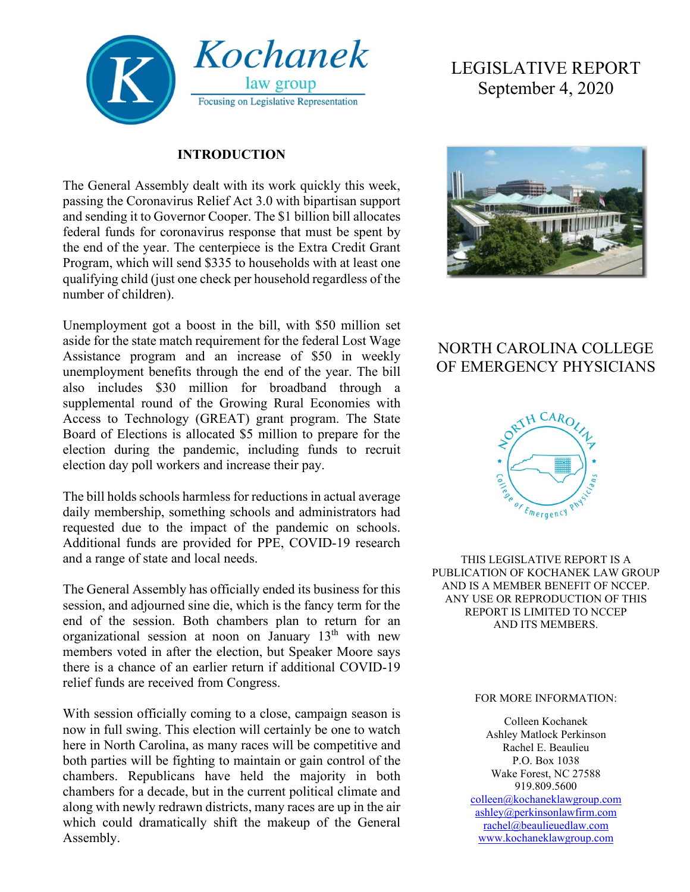

### **INTRODUCTION**

The General Assembly dealt with its work quickly this week, passing the Coronavirus Relief Act 3.0 with bipartisan support and sending it to Governor Cooper. The \$1 billion bill allocates federal funds for coronavirus response that must be spent by the end of the year. The centerpiece is the Extra Credit Grant Program, which will send \$335 to households with at least one qualifying child (just one check per household regardless of the number of children).

Unemployment got a boost in the bill, with \$50 million set aside for the state match requirement for the federal Lost Wage Assistance program and an increase of \$50 in weekly unemployment benefits through the end of the year. The bill also includes \$30 million for broadband through a supplemental round of the Growing Rural Economies with Access to Technology (GREAT) grant program. The State Board of Elections is allocated \$5 million to prepare for the election during the pandemic, including funds to recruit election day poll workers and increase their pay.

The bill holds schools harmless for reductions in actual average daily membership, something schools and administrators had requested due to the impact of the pandemic on schools. Additional funds are provided for PPE, COVID-19 research and a range of state and local needs.

The General Assembly has officially ended its business for this session, and adjourned sine die, which is the fancy term for the end of the session. Both chambers plan to return for an organizational session at noon on January 13th with new members voted in after the election, but Speaker Moore says there is a chance of an earlier return if additional COVID-19 relief funds are received from Congress.

With session officially coming to a close, campaign season is now in full swing. This election will certainly be one to watch here in North Carolina, as many races will be competitive and both parties will be fighting to maintain or gain control of the chambers. Republicans have held the majority in both chambers for a decade, but in the current political climate and along with newly redrawn districts, many races are up in the air which could dramatically shift the makeup of the General Assembly.

# LEGISLATIVE REPORT September 4, 2020



## NORTH CAROLINA COLLEGE OF EMERGENCY PHYSICIANS



THIS LEGISLATIVE REPORT IS A PUBLICATION OF KOCHANEK LAW GROUP AND IS A MEMBER BENEFIT OF NCCEP. ANY USE OR REPRODUCTION OF THIS REPORT IS LIMITED TO NCCEP AND ITS MEMBERS.

#### FOR MORE INFORMATION:

Colleen Kochanek Ashley Matlock Perkinson Rachel E. Beaulieu P.O. Box 1038 Wake Forest, NC 27588 919.809.5600 [colleen@kochaneklawgroup.com](mailto:colleen@kochaneklawgroup.com) [ashley@perkinsonlawfirm.com](mailto:ashley@perkinsonlawfirm.com) [rachel@beaulieuedlaw.com](mailto:rachel@beaulieuedlaw.com)

[www.kochaneklawgroup.com](http://www.kochaneklawgroup.com/)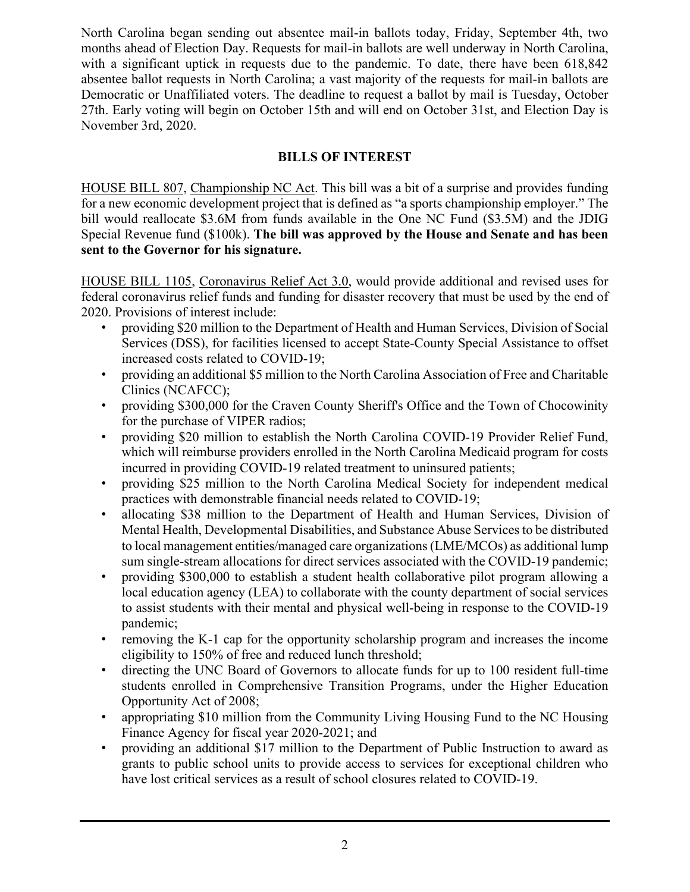North Carolina began sending out absentee mail-in ballots today, Friday, September 4th, two months ahead of Election Day. Requests for mail-in ballots are well underway in North Carolina, with a significant uptick in requests due to the pandemic. To date, there have been 618,842 absentee ballot requests in North Carolina; a vast majority of the requests for mail-in ballots are Democratic or Unaffiliated voters. The deadline to request a ballot by mail is Tuesday, October 27th. Early voting will begin on October 15th and will end on October 31st, and Election Day is November 3rd, 2020.

## **BILLS OF INTEREST**

HOUSE BILL 807, Championship NC Act. This bill was a bit of a surprise and provides funding for a new economic development project that is defined as "a sports championship employer." The bill would reallocate \$3.6M from funds available in the One NC Fund (\$3.5M) and the JDIG Special Revenue fund (\$100k). **The bill was approved by the House and Senate and has been sent to the Governor for his signature.**

HOUSE BILL 1105, Coronavirus Relief Act 3.0, would provide additional and revised uses for federal coronavirus relief funds and funding for disaster recovery that must be used by the end of 2020. Provisions of interest include:

- providing \$20 million to the Department of Health and Human Services, Division of Social Services (DSS), for facilities licensed to accept State-County Special Assistance to offset increased costs related to COVID-19;
- providing an additional \$5 million to the North Carolina Association of Free and Charitable Clinics (NCAFCC);
- providing \$300,000 for the Craven County Sheriff's Office and the Town of Chocowinity for the purchase of VIPER radios;
- providing \$20 million to establish the North Carolina COVID-19 Provider Relief Fund, which will reimburse providers enrolled in the North Carolina Medicaid program for costs incurred in providing COVID-19 related treatment to uninsured patients;
- providing \$25 million to the North Carolina Medical Society for independent medical practices with demonstrable financial needs related to COVID-19;
- allocating \$38 million to the Department of Health and Human Services, Division of Mental Health, Developmental Disabilities, and Substance Abuse Services to be distributed to local management entities/managed care organizations (LME/MCOs) as additional lump sum single-stream allocations for direct services associated with the COVID-19 pandemic;
- providing \$300,000 to establish a student health collaborative pilot program allowing a local education agency (LEA) to collaborate with the county department of social services to assist students with their mental and physical well-being in response to the COVID-19 pandemic;
- removing the K-1 cap for the opportunity scholarship program and increases the income eligibility to 150% of free and reduced lunch threshold;
- directing the UNC Board of Governors to allocate funds for up to 100 resident full-time students enrolled in Comprehensive Transition Programs, under the Higher Education Opportunity Act of 2008;
- appropriating \$10 million from the Community Living Housing Fund to the NC Housing Finance Agency for fiscal year 2020-2021; and
- providing an additional \$17 million to the Department of Public Instruction to award as grants to public school units to provide access to services for exceptional children who have lost critical services as a result of school closures related to COVID-19.